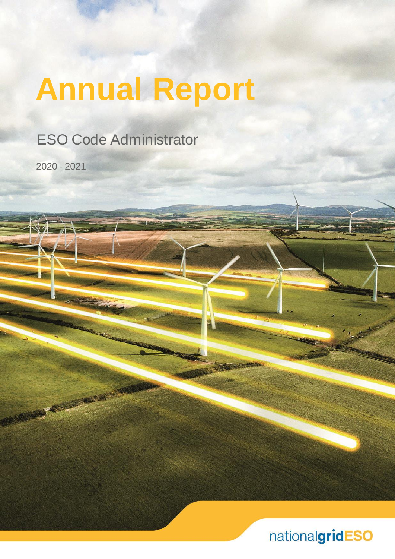# **Annual Report**

ESO Code Administrator

2020 - 2021

REGISTER FOR

nationalgridESO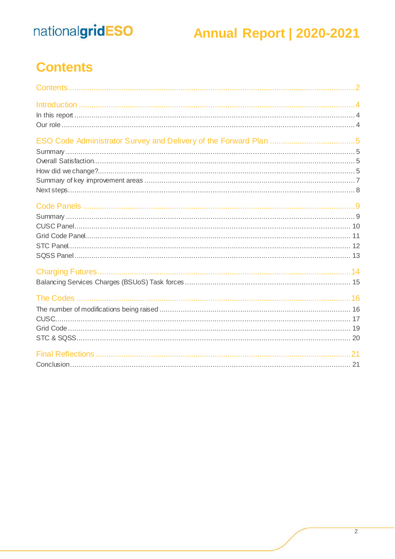### **Annual Report | 2020-2021**

### <span id="page-1-0"></span>**Contents**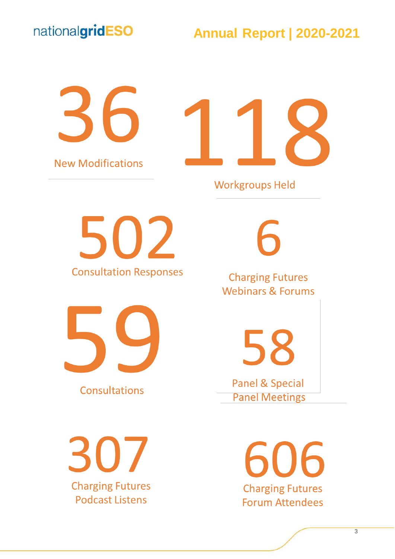#### **Annual Report | 2020-2021**

36 **New Modifications** 



**Workgroups Held** 

502 **Consultation Responses** 



Consultations

307 **Charging Futures Podcast Listens** 

**Charging Futures Webinars & Forums** 

58

**Panel & Special Panel Meetings** 

> 06 **Charging Futures Forum Attendees**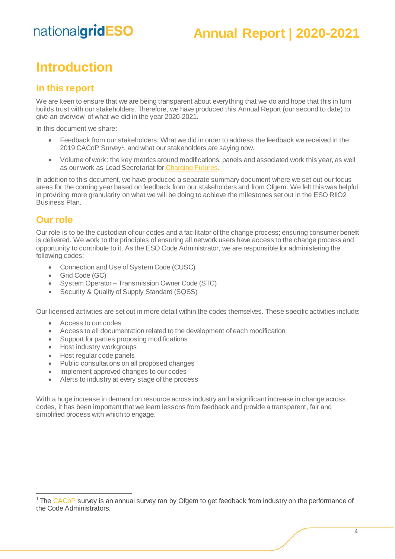#### **Annual Report | 2020-2021**

#### <span id="page-3-0"></span>**Introduction**

#### <span id="page-3-1"></span>**In this report**

We are keen to ensure that we are being transparent about everything that we do and hope that this in turn builds trust with our stakeholders. Therefore, we have produced this Annual Report (our second to date) to give an overview of what we did in the year 2020-2021.

In this document we share:

- Feedback from our stakeholders: What we did in order to address the feedback we received in the 2019 CACoP Survey<sup>1</sup>, and what our stakeholders are saying now.
- Volume of work: the key metrics around modifications, panels and associated work this year, as well as our work as Lead Secretariat fo[r Charging Futures](http://www.chargingfutures.com/).

In addition to this document, we have produced a separate summary document where we set out our focus areas for the coming year based on feedback from our stakeholders and from Ofgem. We felt this was helpful in providing more granularity on what we will be doing to achieve the milestones set out in the ESO RIIO2 Business Plan.

#### <span id="page-3-2"></span>**Our role**

 $\overline{a}$ 

Our role is to be the custodian of our codes and a facilitator of the change process; ensuring consumer benefit is delivered. We work to the principles of ensuring all network users have access to the change process and opportunity to contribute to it. As the ESO Code Administrator, we are responsible for administering the following codes:

- Connection and Use of System Code (CUSC)
- Grid Code (GC)
- System Operator Transmission Owner Code (STC)
- Security & Quality of Supply Standard (SQSS)

Our licensed activities are set out in more detail within the codes themselves. These specific activities include:

- Access to our codes
- Access to all documentation related to the development of each modification
- Support for parties proposing modifications
- Host industry workgroups
- Host regular code panels
- Public consultations on all proposed changes
- Implement approved changes to our codes
- Alerts to industry at every stage of the process

With a huge increase in demand on resource across industry and a significant increase in change across codes, it has been important that we learn lessons from feedback and provide a transparent, fair and simplified process with which to engage.

<sup>&</sup>lt;sup>1</sup> The [CACoP](https://www.ofgem.gov.uk/licences-industry-codes-and-standards/industry-code-governance/code-administration-code-practice-cacop) survey is an annual survey ran by Ofgem to get feedback from industry on the performance of the Code Administrators.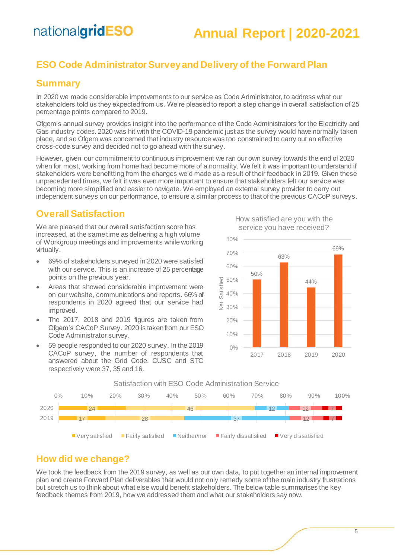#### **Annual Report | 2020-2021**

#### <span id="page-4-0"></span>**ESO Code Administrator Survey and Delivery of the Forward Plan**

#### <span id="page-4-1"></span>**Summary**

In 2020 we made considerable improvements to our service as Code Administrator, to address what our stakeholders told us they expected from us. We're pleased to report a step change in overall satisfaction of 25 percentage points compared to 2019.

Ofgem's annual survey provides insight into the performance of the Code Administrators for the Electricity and Gas industry codes. 2020 was hit with the COVID-19 pandemic just as the survey would have normally taken place, and so Ofgem was concerned that industry resource was too constrained to carry out an effective cross-code survey and decided not to go ahead with the survey.

However, given our commitment to continuous improvement we ran our own survey towards the end of 2020 when for most, working from home had become more of a normality. We felt it was important to understand if stakeholders were benefitting from the changes we'd made as a result of their feedback in 2019. Given these unprecedented times, we felt it was even more important to ensure that stakeholders felt our service was becoming more simplified and easier to navigate. We employed an external survey provider to carry out independent surveys on our performance, to ensure a similar process to that of the previous CACoP surveys.

#### <span id="page-4-2"></span>**Overall Satisfaction**

We are pleased that our overall satisfaction score has increased, at the same time as delivering a high volume of Workgroup meetings and improvements while working virtually.

- 69% of stakeholders surveyed in 2020 were satisfied with our service. This is an increase of 25 percentage points on the previous year.
- Areas that showed considerable improvement were on our website, communications and reports. 66% of respondents in 2020 agreed that our service had improved.
- The 2017, 2018 and 2019 figures are taken from Ofgem's CACoP Survey. 2020 is taken from our ESO Code Administrator survey.
- 59 people responded to our 2020 survey. In the 2019 CACoP survey, the number of respondents that answered about the Grid Code, CUSC and STC respectively were 37, 35 and 16.



How satisfied are you with the





#### <span id="page-4-3"></span>**How did we change?**

We took the feedback from the 2019 survey, as well as our own data, to put together an internal improvement plan and create Forward Plan deliverables that would not only remedy some of the main industry frustrations but stretch us to think about what else would benefit stakeholders. The below table summarises the key feedback themes from 2019, how we addressed them and what our stakeholders say now.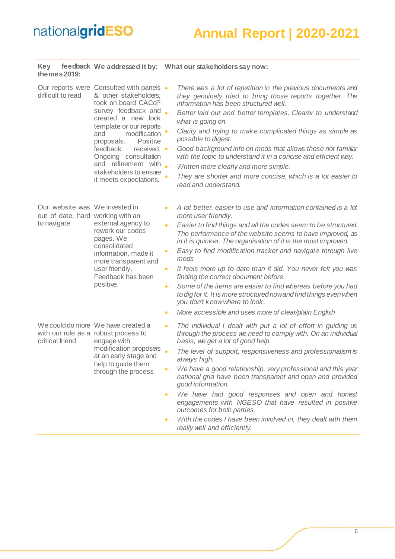### **Annual Report | 2020-2021**

| Key<br>themes 2019:                                                                |                                                                                                                                                                                                                                                                                                                                                   | feedback We addressed it by: What our stakeholders say now:                                                                                                                                                                                                                                                                                                                                                                                                                                                                                                                                                                                                                                                                                                         |
|------------------------------------------------------------------------------------|---------------------------------------------------------------------------------------------------------------------------------------------------------------------------------------------------------------------------------------------------------------------------------------------------------------------------------------------------|---------------------------------------------------------------------------------------------------------------------------------------------------------------------------------------------------------------------------------------------------------------------------------------------------------------------------------------------------------------------------------------------------------------------------------------------------------------------------------------------------------------------------------------------------------------------------------------------------------------------------------------------------------------------------------------------------------------------------------------------------------------------|
| difficult to read                                                                  | Our reports were Consulted with panels •<br>& other stakeholders,<br>took on board CACoP<br>survey feedback and<br>created a new look<br>template or our reports<br>modification<br>and<br>Positive<br>proposals.<br>feedback<br>received. •<br>Ongoing consultation<br>and refinement with .<br>stakeholders to ensure<br>it meets expectations. | There was a lot of repetition in the previous documents and<br>they genuinely tried to bring those reports together. The<br>information has been structured well.<br>Better laid out and better templates. Clearer to understand<br>what is going on.<br>Clarity and trying to make complicated things as simple as<br>possible to digest.<br>Good background info on mods that allows those not familiar<br>with the topic to understand it in a concise and efficient way.<br>Written more clearly and more simple.<br>They are shorter and more concise, which is a lot easier to<br>read and understand.                                                                                                                                                        |
| Our website was We invested in<br>out of date, hard working with an<br>to navigate | external agency to<br>rework our codes<br>pages. We<br>consolidated<br>information, made it<br>more transparent and<br>user friendly.<br>Feedback has been<br>positive.                                                                                                                                                                           | A lot better, easier to use and information contained is a lot<br>$\bullet$<br>more user friendly.<br>Easier to find things and all the codes seem to be structured.<br>$\bullet$<br>The performance of the website seems to have improved, as<br>in it is quicker. The organisation of it is the most improved.<br>Easy to find modification tracker and navigate through live<br>mods<br>It feels more up to date than it did. You never felt you was<br>$\bullet$<br>finding the correct document before.<br>Some of the items are easier to find whereas before you had<br>$\bullet$<br>to dig for it. It is more structured nowand find things even when<br>you don't know where to look.<br>More accessible and uses more of clear/plain English<br>$\bullet$ |
| critical friend                                                                    | We could do more We have created a<br>with our role as a robust process to<br>engage with<br>modification proposers<br>at an early stage and<br>help to guide them<br>through the process.                                                                                                                                                        | The individual I dealt with put a lot of effort in guiding us<br>$\bullet$<br>through the process we need to comply with. On an individual<br>basis, we get a lot of good help.<br>$\bullet$<br>The level of support, responsiveness and professionalism is<br>always high.<br>We have a good relationship, very professional and this year<br>$\bullet$<br>national grid have been transparent and open and provided<br>good information.<br>We have had good responses and open and honest<br>$\bullet$<br>engagements with NGESO that have resulted in positive<br>outcomes for both parties.<br>With the codes I have been involved in, they dealt with them<br>$\bullet$<br>really well and efficiently.                                                       |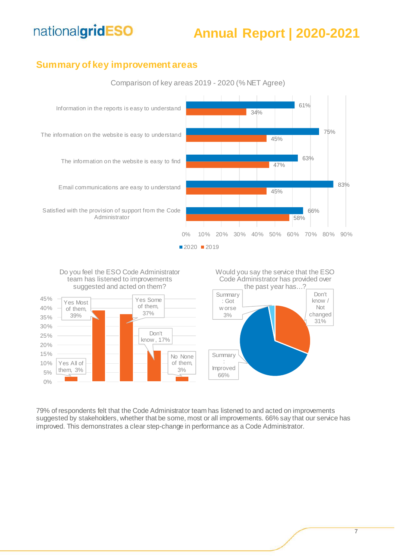#### **Annual Report | 2020-2021**

#### <span id="page-6-0"></span>**Summary of key improvement areas**



Comparison of key areas 2019 - 2020 (% NET Agree)





79% of respondents felt that the Code Administrator team has listened to and acted on improvements suggested by stakeholders, whether that be some, most or all improvements. 66% say that our service has improved. This demonstrates a clear step-change in performance as a Code Administrator.

#### Don't know / Not the past year has...?

Would you say the service that the ESO Code Administrator has provided over

> changed 31%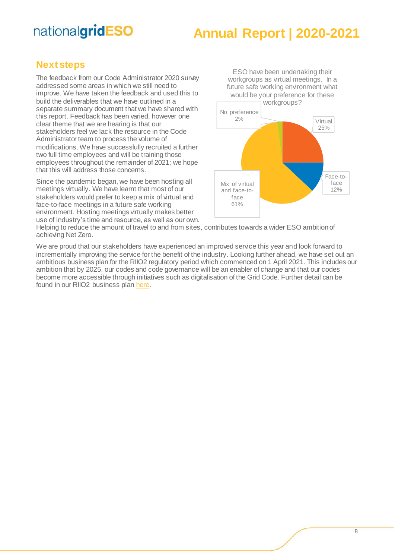#### **Annual Report | 2020-2021**

ESO have been undertaking their

#### <span id="page-7-0"></span>**Next steps**

The feedback from our Code Administrator 2020 survey addressed some areas in which we still need to improve. We have taken the feedback and used this to build the deliverables that we have outlined in a separate summary document that we have shared with this report. Feedback has been varied, however one clear theme that we are hearing is that our stakeholders feel we lack the resource in the Code Administrator team to process the volume of modifications. We have successfully recruited a further two full time employees and will be training those employees throughout the remainder of 2021; we hope that this will address those concerns.

Since the pandemic began, we have been hosting all meetings virtually. We have learnt that most of our stakeholders would prefer to keep a mix of virtual and face-to-face meetings in a future safe working environment. Hosting meetings virtually makes better use of industry's time and resource, as well as our own.



Helping to reduce the amount of travel to and from sites, contributes towards a wider ESO ambition of achieving Net Zero.

We are proud that our stakeholders have experienced an improved service this year and look forward to incrementally improving the service for the benefit of the industry. Looking further ahead, we have set out an ambitious business plan for the RIIO2 regulatory period which commenced on 1 April 2021. This includes our ambition that by 2025, our codes and code governance will be an enabler of change and that our codes become more accessible through initiatives such as digitalisation of the Grid Code. Further detail can be found in our RIIO2 business pla[n here](https://www.nationalgrideso.com/our-strategy/business-planning-riio/riio-2-final-business-plan).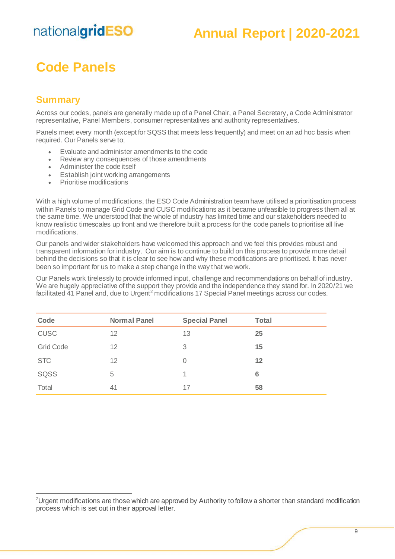#### **Annual Report | 2020-2021**

### <span id="page-8-0"></span>**Code Panels**

#### <span id="page-8-1"></span>**Summary**

 $\overline{a}$ 

Across our codes, panels are generally made up of a Panel Chair, a Panel Secretary, a Code Administrator representative, Panel Members, consumer representatives and authority representatives.

Panels meet every month (except for SQSS that meets less frequently) and meet on an ad hoc basis when required. Our Panels serve to;

- Evaluate and administer amendments to the code
- Review any consequences of those amendments
- Administer the code itself
- **Establish joint working arrangements**
- Prioritise modifications

With a high volume of modifications, the ESO Code Administration team have utilised a prioritisation process within Panels to manage Grid Code and CUSC modifications as it became unfeasible to progress them all at the same time. We understood that the whole of industry has limited time and our stakeholders needed to know realistic timescales up front and we therefore built a process for the code panels to prioritise all live modifications.

Our panels and wider stakeholders have welcomed this approach and we feel this provides robust and transparent information for industry. Our aim is to continue to build on this process to provide more detail behind the decisions so that it is clear to see how and why these modifications are prioritised. It has never been so important for us to make a step change in the way that we work.

Our Panels work tirelessly to provide informed input, challenge and recommendations on behalf of industry. We are hugely appreciative of the support they provide and the independence they stand for. In 2020/21 we facilitated 41 Panel and, due to Urgent<sup>2</sup> modifications 17 Special Panel meetings across our codes.

| Code             | <b>Normal Panel</b> | <b>Special Panel</b> | <b>Total</b> |
|------------------|---------------------|----------------------|--------------|
| <b>CUSC</b>      | 12                  | 13                   | 25           |
| <b>Grid Code</b> | 12                  | 3                    | 15           |
| <b>STC</b>       | 12                  | 0                    | 12           |
| SQSS             | 5                   | 1                    | 6            |
| Total            | 41                  | 17                   | 58           |

<sup>&</sup>lt;sup>2</sup>Urgent modifications are those which are approved by Authority to follow a shorter than standard modification process which is set out in their approval letter.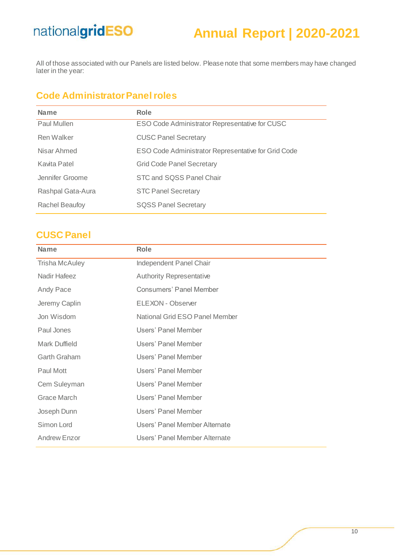### **Annual Report | 2020-2021**

All of those associated with our Panels are listed below. Please note that some members may have changed later in the year:

#### **Code Administrator Panel roles**

| <b>Name</b>           | <b>Role</b>                                         |
|-----------------------|-----------------------------------------------------|
| Paul Mullen           | ESO Code Administrator Representative for CUSC      |
| Ren Walker            | <b>CUSC Panel Secretary</b>                         |
| Nisar Ahmed           | ESO Code Administrator Representative for Grid Code |
| Kavita Patel          | <b>Grid Code Panel Secretary</b>                    |
| Jennifer Groome       | STC and SQSS Panel Chair                            |
| Rashpal Gata-Aura     | <b>STC Panel Secretary</b>                          |
| <b>Rachel Beaufoy</b> | <b>SQSS Panel Secretary</b>                         |
|                       |                                                     |

#### <span id="page-9-0"></span>**CUSC Panel**

| <b>Name</b>           | Role                                  |
|-----------------------|---------------------------------------|
| <b>Trisha McAuley</b> | Independent Panel Chair               |
| <b>Nadir Hafeez</b>   | <b>Authority Representative</b>       |
| Andy Pace             | <b>Consumers' Panel Member</b>        |
| Jeremy Caplin         | ELEXON - Observer                     |
| Jon Wisdom            | <b>National Grid ESO Panel Member</b> |
| Paul Jones            | Users' Panel Member                   |
| Mark Duffield         | Users' Panel Member                   |
| <b>Garth Graham</b>   | Users' Panel Member                   |
| Paul Mott             | Users' Panel Member                   |
| Cem Suleyman          | Users' Panel Member                   |
| Grace March           | Users' Panel Member                   |
| Joseph Dunn           | Users' Panel Member                   |
| Simon Lord            | Users' Panel Member Alternate         |
| Andrew Enzor          | Users' Panel Member Alternate         |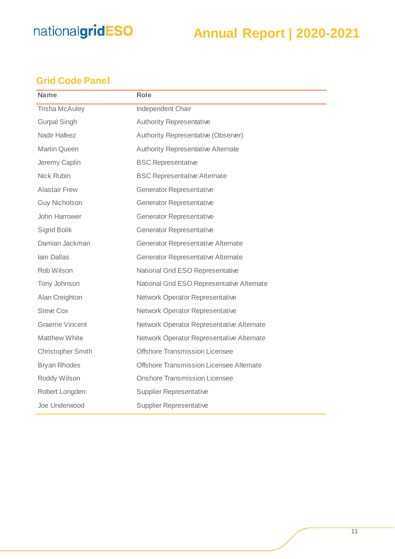### **Annual Report | 2020-2021**

#### <span id="page-10-0"></span>**Grid Code Panel**

| <b>Name</b>              | <b>Role</b>                                |
|--------------------------|--------------------------------------------|
| <b>Trisha McAuley</b>    | Independent Chair                          |
| <b>Gurpal Singh</b>      | <b>Authority Representative</b>            |
| Nadir Hafeez             | Authority Representative (Observer)        |
| <b>Martin Queen</b>      | <b>Authority Representative Alternate</b>  |
| Jeremy Caplin            | <b>BSC Representative</b>                  |
| Nick Rubin               | <b>BSC Representative Alternate</b>        |
| <b>Alastair Frew</b>     | <b>Generator Representative</b>            |
| <b>Guy Nicholson</b>     | <b>Generator Representative</b>            |
| John Harrower            | <b>Generator Representative</b>            |
| Sigrid Bolik             | <b>Generator Representative</b>            |
| Damian Jackman           | <b>Generator Representative Alternate</b>  |
| lain Dallas              | <b>Generator Representative Alternate</b>  |
| Rob Wilson               | National Grid ESO Representative           |
| Tony Johnson             | National Grid ESO Representative Alternate |
| Alan Creighton           | <b>Network Operator Representative</b>     |
| <b>Steve Cox</b>         | Network Operator Representative            |
| <b>Graeme Vincent</b>    | Network Operator Representative Alternate  |
| <b>Matthew White</b>     | Network Operator Representative Alternate  |
| <b>Christopher Smith</b> | <b>Offshore Transmission Licensee</b>      |
| <b>Bryan Rhodes</b>      | Offshore Transmission Licensee Alternate   |
| Roddy Wilson             | <b>Onshore Transmission Licensee</b>       |
| Robert Longden           | <b>Supplier Representative</b>             |
| Joe Underwood            | <b>Supplier Representative</b>             |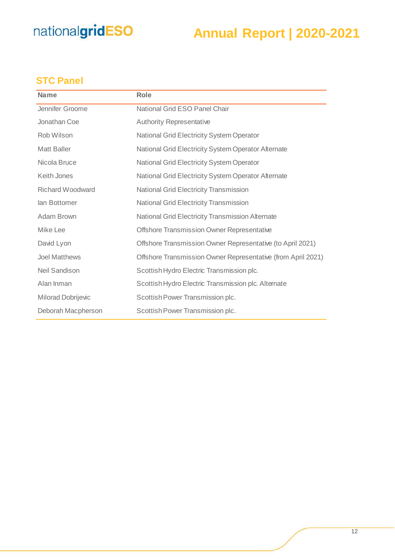### **Annual Report | 2020-2021**

#### <span id="page-11-0"></span>**STC Panel**

| <b>Name</b>          | <b>Role</b>                                                  |
|----------------------|--------------------------------------------------------------|
| Jennifer Groome      | National Grid ESO Panel Chair                                |
| Jonathan Coe         | <b>Authority Representative</b>                              |
| Rob Wilson           | <b>National Grid Electricity System Operator</b>             |
| <b>Matt Baller</b>   | National Grid Electricity System Operator Alternate          |
| Nicola Bruce         | National Grid Electricity System Operator                    |
| Keith Jones          | National Grid Electricity System Operator Alternate          |
| Richard Woodward     | <b>National Grid Electricity Transmission</b>                |
| lan Bottomer         | <b>National Grid Electricity Transmission</b>                |
| Adam Brown           | National Grid Electricity Transmission Alternate             |
| Mike Lee             | Offshore Transmission Owner Representative                   |
| David Lyon           | Offshore Transmission Owner Representative (to April 2021)   |
| <b>Joel Matthews</b> | Offshore Transmission Owner Representative (from April 2021) |
| Neil Sandison        | Scottish Hydro Electric Transmission plc.                    |
| Alan Inman           | Scottish Hydro Electric Transmission plc. Alternate          |
| Milorad Dobrijevic   | Scottish Power Transmission plc.                             |
| Deborah Macpherson   | Scottish Power Transmission plc.                             |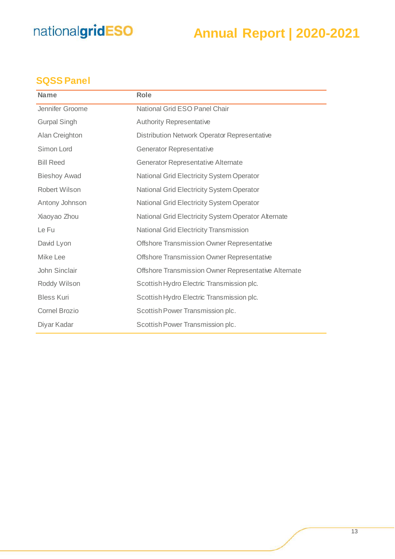### **Annual Report | 2020-2021**

#### <span id="page-12-0"></span>**SQSS Panel**

| <b>Name</b>          | Role                                                 |
|----------------------|------------------------------------------------------|
| Jennifer Groome      | National Grid ESO Panel Chair                        |
| <b>Gurpal Singh</b>  | <b>Authority Representative</b>                      |
| Alan Creighton       | <b>Distribution Network Operator Representative</b>  |
| Simon Lord           | <b>Generator Representative</b>                      |
| <b>Bill Reed</b>     | <b>Generator Representative Alternate</b>            |
| <b>Bieshoy Awad</b>  | <b>National Grid Electricity System Operator</b>     |
| Robert Wilson        | <b>National Grid Electricity System Operator</b>     |
| Antony Johnson       | <b>National Grid Electricity System Operator</b>     |
| Xiaoyao Zhou         | National Grid Electricity System Operator Alternate  |
| Le Fu                | <b>National Grid Electricity Transmission</b>        |
| David Lyon           | Offshore Transmission Owner Representative           |
| Mike Lee             | Offshore Transmission Owner Representative           |
| John Sinclair        | Offshore Transmission Owner Representative Alternate |
| Roddy Wilson         | Scottish Hydro Electric Transmission plc.            |
| <b>Bless Kuri</b>    | Scottish Hydro Electric Transmission plc.            |
| <b>Cornel Brozio</b> | Scottish Power Transmission plc.                     |
| Diyar Kadar          | Scottish Power Transmission plc.                     |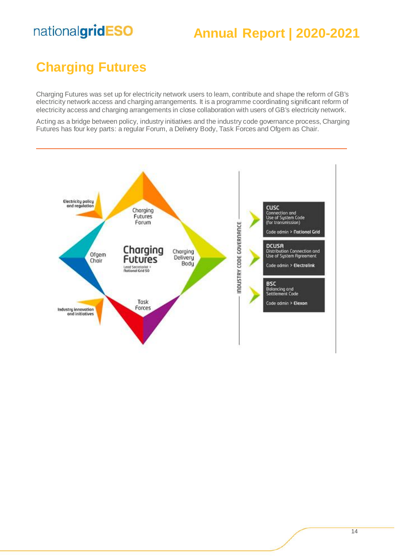#### **Annual Report | 2020-2021**

### <span id="page-13-0"></span>**Charging Futures**

Charging Futures was set up for electricity network users to learn, contribute and shape the reform of GB's electricity network access and charging arrangements. It is a programme coordinating significant reform of electricity access and charging arrangements in close collaboration with users of GB's electricity network.

Acting as a bridge between policy, industry initiatives and the industry code governance process, Charging Futures has four key parts: a regular Forum, a Delivery Body, Task Forces and Ofgem as Chair.

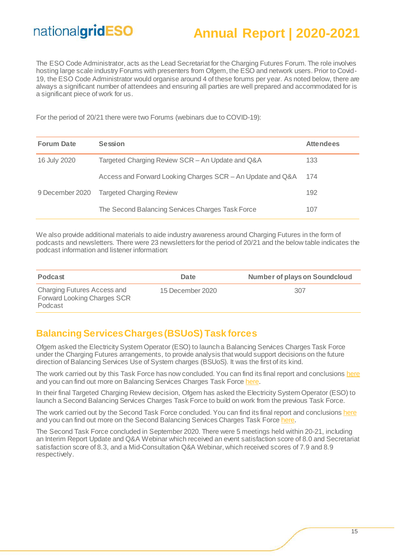### **Annual Report | 2020-2021**

The ESO Code Administrator, acts as the Lead Secretariat for the Charging Futures Forum. The role involves hosting large scale industry Forums with presenters from Ofgem, the ESO and network users. Prior to Covid-19, the ESO Code Administrator would organise around 4 of these forums per year. As noted below, there are always a significant number of attendees and ensuring all parties are well prepared and accommodated for is a significant piece of work for us.

For the period of 20/21 there were two Forums (webinars due to COVID-19):

| <b>Forum Date</b> | <b>Session</b>                                             | <b>Attendees</b> |
|-------------------|------------------------------------------------------------|------------------|
| 16 July 2020      | Targeted Charging Review SCR - An Update and Q&A           | 133              |
|                   | Access and Forward Looking Charges SCR - An Update and Q&A | 174              |
| 9 December 2020   | <b>Targeted Charging Review</b>                            | 192              |
|                   | The Second Balancing Services Charges Task Force           | 107              |

We also provide additional materials to aide industry awareness around Charging Futures in the form of podcasts and newsletters. There were 23 newsletters for the period of 20/21 and the below table indicates the podcast information and listener information:

| Podcast                                                               | Date             | <b>Number of plays on Soundcloud</b> |
|-----------------------------------------------------------------------|------------------|--------------------------------------|
| Charging Futures Access and<br>Forward Looking Charges SCR<br>Podcast | 15 December 2020 | 307                                  |

#### <span id="page-14-0"></span>**Balancing Services Charges (BSUoS) Task forces**

Ofgem asked the Electricity System Operator (ESO) to launch a Balancing Services Charges Task Force under the Charging Futures arrangements, to provide analysis that would support decisions on the future direction of Balancing Services Use of System charges (BSUoS). It was the first of its kind.

The work carried out by this Task Force has now concluded. You can find its final report and conclusions [here](http://chargingfutures.com/media/1348/balancing-services-charges-task-force-final-report.pdf) and you can find out more on Balancing Services Charges Task Force [here](http://chargingfutures.com/charging-reforms/task-forces/previous-task-forces/balancing-services-charges-task-force/what-is-the-balancing-services-charges-task-force/).

In their final Targeted Charging Review decision, Ofgem has asked the Electricity System Operator (ESO) to launch a Second Balancing Services Charges Task Force to build on work from the previous Task Force.

The work carried out by the Second Task Force concluded. You can find its final report and conclusions [here](http://www.chargingfutures.com/media/1477/second-balancing-services-charges-task-force-final-report.pdf) and you can find out more on the Second Balancing Services Charges Task Force [here](http://www.chargingfutures.com/charging-reforms/task-forces/second-balancing-services-charges-task-force/what-is-the-second-balancing-services-charges-task-force/).

The Second Task Force concluded in September 2020. There were 5 meetings held within 20-21, including an Interim Report Update and Q&A Webinar which received an event satisfaction score of 8.0 and Secretariat satisfaction score of 8.3, and a Mid-Consultation Q&A Webinar, which received scores of 7.9 and 8.9 respectively.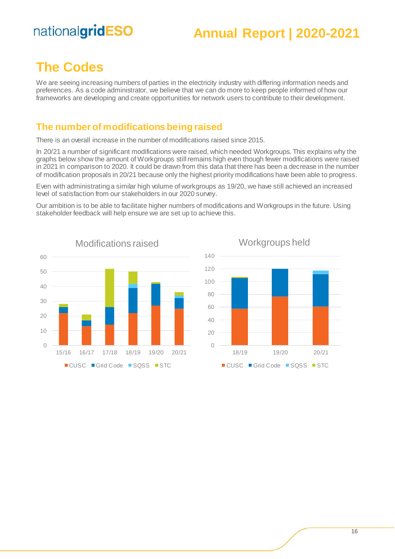#### **Annual Report | 2020-2021**

#### <span id="page-15-0"></span>**The Codes**

We are seeing increasing numbers of parties in the electricity industry with differing information needs and preferences. As a code administrator, we believe that we can do more to keep people informed of how our frameworks are developing and create opportunities for network users to contribute to their development.

#### <span id="page-15-1"></span>**The number of modifications being raised**

There is an overall increase in the number of modifications raised since 2015.

In 20/21 a number of significant modifications were raised, which needed Workgroups. This explains why the graphs below show the amount of Workgroups still remains high even though fewer modifications were raised in 2021 in comparison to 2020. It could be drawn from this data that there has been a decrease in the number of modification proposals in 20/21 because only the highest priority modifications have been able to progress.

Even with administrating a similar high volume of workgroups as 19/20, we have still achieved an increased level of satisfaction from our stakeholders in our 2020 survey.

Our ambition is to be able to facilitate higher numbers of modifications and Workgroups in the future. Using stakeholder feedback will help ensure we are set up to achieve this.





Workgroups held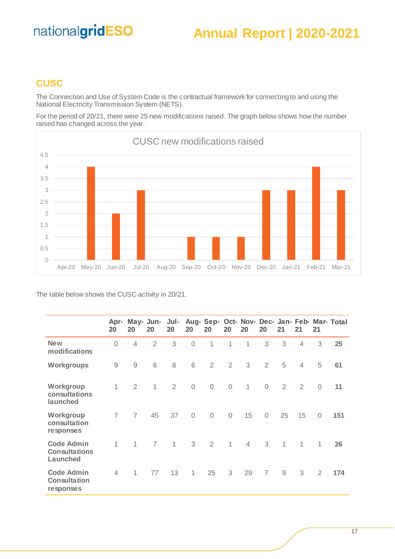#### **Annual Report | 2020-2021**

#### <span id="page-16-0"></span>**CUSC**

The Connection and Use of System Code is the contractual framework for connecting to and using the National Electricity Transmission System (NETS).

For the period of 20/21, there were 25 new modifications raised. The graph below shows how the number raised has changed across the year.



The table below shows the CUSC activity in 20/21.

|                                                       | Apr-<br>20     | 20             | May- Jun-<br>20 | Jul-<br>20     | 20             | 20             | <b>20</b>      | 20             | 20             | 21           | 21             | 21           | Aug- Sep- Oct- Nov- Dec- Jan- Feb- Mar- Total |
|-------------------------------------------------------|----------------|----------------|-----------------|----------------|----------------|----------------|----------------|----------------|----------------|--------------|----------------|--------------|-----------------------------------------------|
| <b>New</b><br>modifications                           | $\overline{0}$ | $\overline{4}$ | 2               | 3              | $\overline{0}$ | $\mathbf{1}$   | 1              | 1              | 3              | 3            | $\overline{4}$ | 3            | 25                                            |
| Workgroups                                            | $\mathcal{G}$  | 9              | 6               | 8              | 6              | 2              | $\overline{2}$ | 3              | $\overline{2}$ | 5            | $\overline{4}$ | 5            | 61                                            |
| Workgroup<br>consultations<br>launched                | 1              | $\overline{2}$ | $\mathbf{1}$    | $\overline{2}$ | $\sqrt{a}$     | $\mathbf 0$    | $\mathbf 0$    | $\mathbf{1}$   | $\sqrt{a}$     | 2            | 2              | $\mathbf 0$  | 11                                            |
| Workgroup<br>consultation<br>responses                | $\overline{7}$ | $\overline{7}$ | 45              | 37             | $\sqrt{a}$     | $\mathcal{O}$  | $\overline{0}$ | 15             | $\sqrt{a}$     | 25           | 15             | $\sqrt{a}$   | 151                                           |
| <b>Code Admin</b><br><b>Consultations</b><br>Launched | 1              | 1              | $\overline{7}$  | $\mathbf 1$    | 3              | $\overline{2}$ | $\mathbf{1}$   | $\overline{4}$ | 3              | $\mathbf{1}$ | $\mathbf{1}$   | $\mathbf{1}$ | 26                                            |
| <b>Code Admin</b><br><b>Consultation</b><br>responses | $\overline{4}$ | 1              | 77              | 13             | $\mathbf{1}$   | 25             | 3              | 29             | $\overline{7}$ | $9\,$        | 3              | 2            | 174                                           |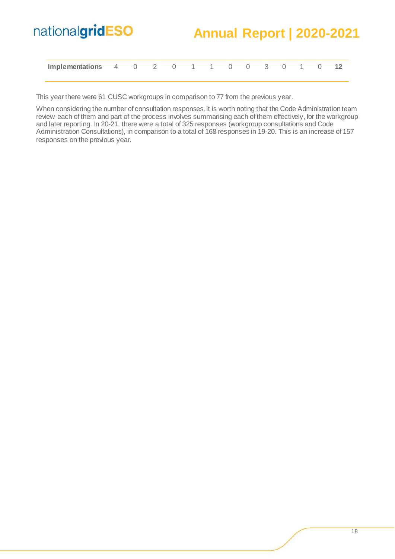#### **Annual Report | 2020-2021**

| Implementations 4 0 2 0 1 1 0 0 3 0 1 0 |  |  |  |  |  |  |  |
|-----------------------------------------|--|--|--|--|--|--|--|
|                                         |  |  |  |  |  |  |  |

This year there were 61 CUSC workgroups in comparison to 77 from the previous year.

When considering the number of consultation responses, it is worth noting that the Code Administration team review each of them and part of the process involves summarising each of them effectively, for the workgroup and later reporting. In 20-21, there were a total of 325 responses (workgroup consultations and Code Administration Consultations), in comparison to a total of 168 responses in 19-20. This is an increase of 157 responses on the previous year.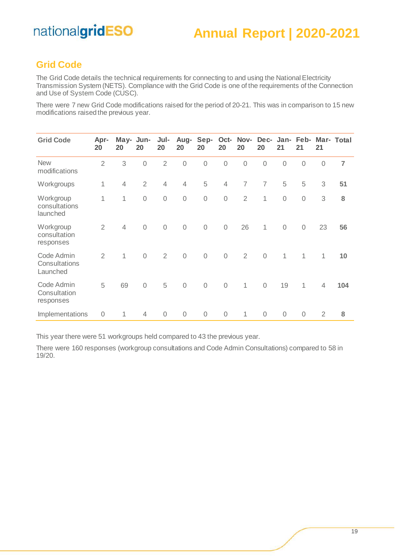#### <span id="page-18-0"></span>**Grid Code**

The Grid Code details the technical requirements for connecting to and using the National Electricity Transmission System (NETS). Compliance with the Grid Code is one of the requirements of the Connection and Use of System Code (CUSC).

There were 7 new Grid Code modifications raised for the period of 20-21. This was in comparison to 15 new modifications raised the previous year.

| <b>Grid Code</b>                        | Apr-<br>20     | May-<br>20     | Jun-<br>20     | Jul-<br>20     | Aug-<br>20     | Sep-<br>20  | Oct-<br>20     | Nov-<br>20     | Dec-<br>20     | Jan-<br>21   | Feb-<br>21     | 21             | Mar- Total |
|-----------------------------------------|----------------|----------------|----------------|----------------|----------------|-------------|----------------|----------------|----------------|--------------|----------------|----------------|------------|
| <b>New</b><br>modifications             | $\overline{2}$ | 3              | $\overline{0}$ | $\overline{2}$ | $\sqrt{a}$     | $\mathbf 0$ | $\mathbf 0$    | $\mathbf 0$    | $\sqrt{a}$     | $\mathbf 0$  | $\overline{0}$ | $\mathbf 0$    | 7          |
| Workgroups                              | 1              | $\overline{4}$ | $\overline{2}$ | $\overline{4}$ | $\overline{4}$ | 5           | $\overline{4}$ | 7              | $\overline{7}$ | 5            | 5              | 3              | 51         |
| Workgroup<br>consultations<br>launched  | 1              | 1              | $\mathbf 0$    | $\mathbf 0$    | $\mathbf 0$    | $\mathbf 0$ | $\mathbf 0$    | $\overline{2}$ | 1              | $\mathbf 0$  | $\sqrt{a}$     | 3              | 8          |
| Workgroup<br>consultation<br>responses  | $\overline{2}$ | $\overline{4}$ | $\mathbf 0$    | $\mathbf 0$    | $\mathbf 0$    | $\mathbf 0$ | $\mathbf 0$    | 26             | $\mathbf{1}$   | $\mathbf 0$  | $\sqrt{a}$     | 23             | 56         |
| Code Admin<br>Consultations<br>Launched | $\overline{2}$ | 1              | $\overline{0}$ | $\overline{2}$ | $\sqrt{a}$     | $\sqrt{a}$  | $\sqrt{a}$     | $\overline{2}$ | $\overline{0}$ | $\mathbf{1}$ | $\mathbf{1}$   | 1              | 10         |
| Code Admin<br>Consultation<br>responses | 5              | 69             | $\overline{0}$ | 5              | $\mathbf 0$    | $\mathbf 0$ | $\mathbf 0$    | 1              | $\mathbf 0$    | 19           | $\mathbf{1}$   | $\overline{4}$ | 104        |
| Implementations                         | $\mathbf 0$    | 1              | 4              | $\sqrt{a}$     | $\sqrt{a}$     | $\sqrt{a}$  | $\sqrt{a}$     | 1              | $\mathbf 0$    | $\sqrt{a}$   | $\overline{0}$ | 2              | 8          |

This year there were 51 workgroups held compared to 43 the previous year.

There were 160 responses (workgroup consultations and Code Admin Consultations) compared to 58 in 19/20.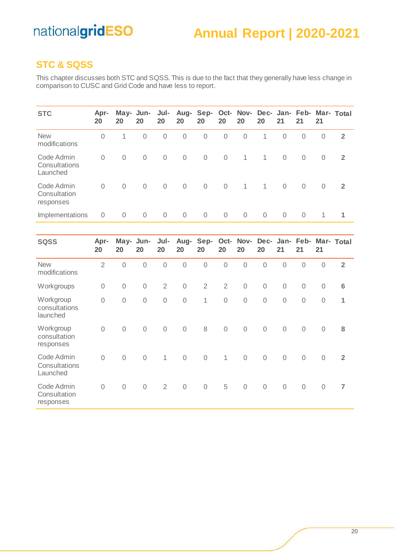#### **Annual Report | 2020-2021**

#### <span id="page-19-0"></span>**STC & SQSS**

This chapter discusses both STC and SQSS. This is due to the fact that they generally have less change in comparison to CUSC and Grid Code and have less to report.

| <b>STC</b>                              | Apr-<br>20 | May- Jun-<br>20 | 20             | Jul-<br>20     | 20             | Aug- Sep-<br>20 | 20             | Oct- Nov- Dec- Jan- Feb- Mar- Total<br>20 | 20           | 21             | 21          | 21       |                |
|-----------------------------------------|------------|-----------------|----------------|----------------|----------------|-----------------|----------------|-------------------------------------------|--------------|----------------|-------------|----------|----------------|
| <b>New</b><br>modifications             | $\Omega$   | 1               | $\Omega$       | $\overline{0}$ | $\mathbf 0$    | 0               | $\mathbf 0$    | $\Omega$                                  | 1            | $\mathbf 0$    | $\Omega$    | $\Omega$ | $\overline{2}$ |
| Code Admin<br>Consultations<br>Launched | $\Omega$   | $\Omega$        | $\Omega$       | $\overline{0}$ | $\overline{0}$ | $\overline{0}$  | $\overline{0}$ | $\mathbf{1}$                              | $\mathbf{1}$ | $\overline{0}$ | $\mathbf 0$ | $\Omega$ | $\overline{2}$ |
| Code Admin<br>Consultation<br>responses | $\Omega$   | $\Omega$        | $\Omega$       | $\overline{0}$ | $\mathbf{0}$   | $\overline{0}$  | $\Omega$       | $\mathbf{1}$                              | $\mathbf{1}$ | $\Omega$       | $\Omega$    | $\Omega$ | $\overline{2}$ |
| Implementations                         | 0          | $\mathbf 0$     | $\overline{0}$ | $\overline{0}$ | $\overline{0}$ | $\Omega$        | $\Omega$       | $\Omega$                                  | $\Omega$     | $\Omega$       | $\Omega$    |          |                |

| <b>SQSS</b>                             | Apr-<br>20     | May-<br>20  | Jun-<br>20     | Jul-<br>20     | Aug-<br>20  | Sep-<br>20     | 20             | Oct- Nov-<br>20 | Dec-<br>20  | 21          | Jan- Feb-<br>21 | 21          | Mar- Total       |
|-----------------------------------------|----------------|-------------|----------------|----------------|-------------|----------------|----------------|-----------------|-------------|-------------|-----------------|-------------|------------------|
| <b>New</b><br>modifications             | $\overline{2}$ | $\mathbf 0$ | $\sqrt{a}$     | 0              | $\mathbf 0$ | $\mathbf 0$    | $\mathbf 0$    | $\mathbf 0$     | $\mathbf 0$ | 0           | 0               | $\sqrt{a}$  | $\overline{2}$   |
| Workgroups                              | $\mathbf 0$    | $\mathbf 0$ | $\overline{0}$ | $\overline{2}$ | $\mathbf 0$ | $\overline{2}$ | $\overline{2}$ | $\sqrt{a}$      | $\mathbf 0$ | $\mathbf 0$ | $\overline{0}$  | $\mathbf 0$ | $\boldsymbol{6}$ |
| Workgroup<br>consultations<br>launched  | $\mathbf 0$    | $\mathbf 0$ | $\mathbf 0$    | $\mathbf 0$    | $\mathbf 0$ | 1              | $\mathbf 0$    | $\mathcal{O}$   | $\mathbf 0$ | $\mathbf 0$ | $\sqrt{a}$      | $\sqrt{a}$  | 1                |
| Workgroup<br>consultation<br>responses  | $\sqrt{a}$     | $\sqrt{a}$  | $\overline{0}$ | $\mathbf 0$    | $\mathbf 0$ | $\,8\,$        | $\overline{0}$ | $\sqrt{a}$      | $\mathbf 0$ | $\mathbf 0$ | $\sqrt{a}$      | $\mathbf 0$ | 8                |
| Code Admin<br>Consultations<br>Launched | $\mathbf 0$    | $\mathbf 0$ | $\overline{0}$ | 1              | $\mathbf 0$ | $\mathbf 0$    | $\mathbf{1}$   | $\mathcal{O}$   | $\mathbf 0$ | $\mathbf 0$ | $\sqrt{a}$      | $\mathbf 0$ | $\overline{2}$   |
| Code Admin<br>Consultation<br>responses | $\mathbf 0$    | $\mathbf 0$ | $\mathbf 0$    | $\overline{2}$ | $\mathbf 0$ | $\mathbf 0$    | 5              | $\mathbf 0$     | $\mathbf 0$ | $\mathbf 0$ | $\mathbf 0$     | $\mathbf 0$ | $\overline{7}$   |